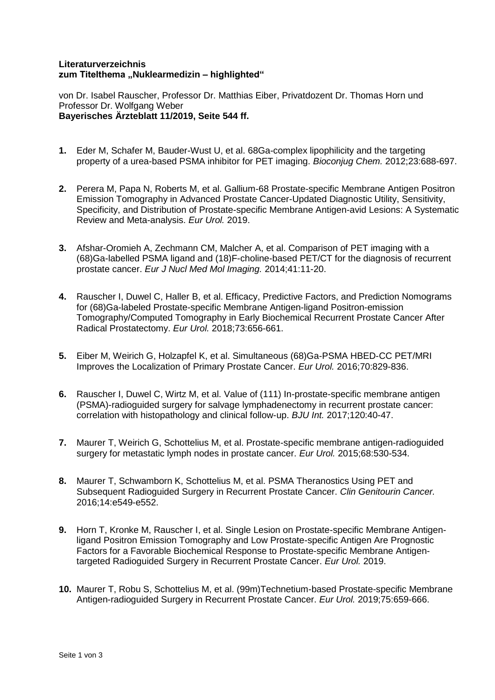## **Literaturverzeichnis zum Titelthema "Nuklearmedizin – highlighted"**

von Dr. Isabel Rauscher, Professor Dr. Matthias Eiber, Privatdozent Dr. Thomas Horn und Professor Dr. Wolfgang Weber **Bayerisches Ärzteblatt 11/2019, Seite 544 ff.**

- **1.** Eder M, Schafer M, Bauder-Wust U, et al. 68Ga-complex lipophilicity and the targeting property of a urea-based PSMA inhibitor for PET imaging. *Bioconjug Chem.* 2012;23:688-697.
- **2.** Perera M, Papa N, Roberts M, et al. Gallium-68 Prostate-specific Membrane Antigen Positron Emission Tomography in Advanced Prostate Cancer-Updated Diagnostic Utility, Sensitivity, Specificity, and Distribution of Prostate-specific Membrane Antigen-avid Lesions: A Systematic Review and Meta-analysis. *Eur Urol.* 2019.
- **3.** Afshar-Oromieh A, Zechmann CM, Malcher A, et al. Comparison of PET imaging with a (68)Ga-labelled PSMA ligand and (18)F-choline-based PET/CT for the diagnosis of recurrent prostate cancer. *Eur J Nucl Med Mol Imaging.* 2014;41:11-20.
- **4.** Rauscher I, Duwel C, Haller B, et al. Efficacy, Predictive Factors, and Prediction Nomograms for (68)Ga-labeled Prostate-specific Membrane Antigen-ligand Positron-emission Tomography/Computed Tomography in Early Biochemical Recurrent Prostate Cancer After Radical Prostatectomy. *Eur Urol.* 2018;73:656-661.
- **5.** Eiber M, Weirich G, Holzapfel K, et al. Simultaneous (68)Ga-PSMA HBED-CC PET/MRI Improves the Localization of Primary Prostate Cancer. *Eur Urol.* 2016;70:829-836.
- **6.** Rauscher I, Duwel C, Wirtz M, et al. Value of (111) In-prostate-specific membrane antigen (PSMA)-radioguided surgery for salvage lymphadenectomy in recurrent prostate cancer: correlation with histopathology and clinical follow-up. *BJU Int.* 2017;120:40-47.
- **7.** Maurer T, Weirich G, Schottelius M, et al. Prostate-specific membrane antigen-radioguided surgery for metastatic lymph nodes in prostate cancer. *Eur Urol.* 2015;68:530-534.
- **8.** Maurer T, Schwamborn K, Schottelius M, et al. PSMA Theranostics Using PET and Subsequent Radioguided Surgery in Recurrent Prostate Cancer. *Clin Genitourin Cancer.*  2016;14:e549-e552.
- **9.** Horn T, Kronke M, Rauscher I, et al. Single Lesion on Prostate-specific Membrane Antigenligand Positron Emission Tomography and Low Prostate-specific Antigen Are Prognostic Factors for a Favorable Biochemical Response to Prostate-specific Membrane Antigentargeted Radioguided Surgery in Recurrent Prostate Cancer. *Eur Urol.* 2019.
- **10.** Maurer T, Robu S, Schottelius M, et al. (99m)Technetium-based Prostate-specific Membrane Antigen-radioguided Surgery in Recurrent Prostate Cancer. *Eur Urol.* 2019;75:659-666.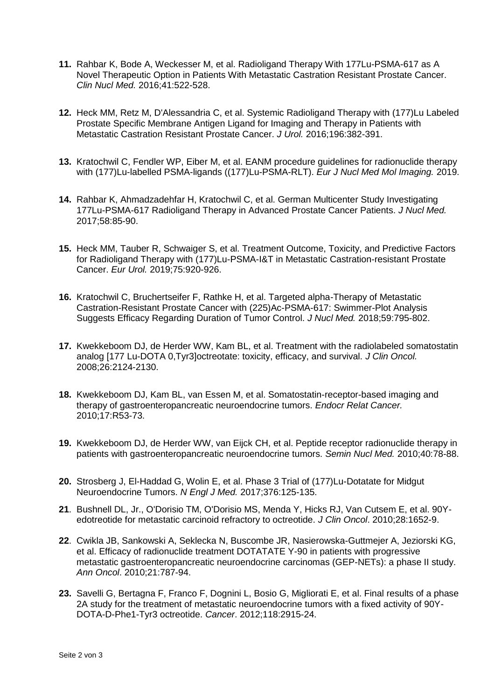- **11.** Rahbar K, Bode A, Weckesser M, et al. Radioligand Therapy With 177Lu-PSMA-617 as A Novel Therapeutic Option in Patients With Metastatic Castration Resistant Prostate Cancer. *Clin Nucl Med.* 2016;41:522-528.
- **12.** Heck MM, Retz M, D'Alessandria C, et al. Systemic Radioligand Therapy with (177)Lu Labeled Prostate Specific Membrane Antigen Ligand for Imaging and Therapy in Patients with Metastatic Castration Resistant Prostate Cancer. *J Urol.* 2016;196:382-391.
- **13.** Kratochwil C, Fendler WP, Eiber M, et al. EANM procedure guidelines for radionuclide therapy with (177)Lu-labelled PSMA-ligands ((177)Lu-PSMA-RLT). *Eur J Nucl Med Mol Imaging.* 2019.
- **14.** Rahbar K, Ahmadzadehfar H, Kratochwil C, et al. German Multicenter Study Investigating 177Lu-PSMA-617 Radioligand Therapy in Advanced Prostate Cancer Patients. *J Nucl Med.*  2017;58:85-90.
- **15.** Heck MM, Tauber R, Schwaiger S, et al. Treatment Outcome, Toxicity, and Predictive Factors for Radioligand Therapy with (177)Lu-PSMA-I&T in Metastatic Castration-resistant Prostate Cancer. *Eur Urol.* 2019;75:920-926.
- **16.** Kratochwil C, Bruchertseifer F, Rathke H, et al. Targeted alpha-Therapy of Metastatic Castration-Resistant Prostate Cancer with (225)Ac-PSMA-617: Swimmer-Plot Analysis Suggests Efficacy Regarding Duration of Tumor Control. *J Nucl Med.* 2018;59:795-802.
- **17.** Kwekkeboom DJ, de Herder WW, Kam BL, et al. Treatment with the radiolabeled somatostatin analog [177 Lu-DOTA 0,Tyr3]octreotate: toxicity, efficacy, and survival. *J Clin Oncol.*  2008;26:2124-2130.
- **18.** Kwekkeboom DJ, Kam BL, van Essen M, et al. Somatostatin-receptor-based imaging and therapy of gastroenteropancreatic neuroendocrine tumors. *Endocr Relat Cancer.*  2010;17:R53-73.
- **19.** Kwekkeboom DJ, de Herder WW, van Eijck CH, et al. Peptide receptor radionuclide therapy in patients with gastroenteropancreatic neuroendocrine tumors. *Semin Nucl Med.* 2010;40:78-88.
- **20.** Strosberg J, El-Haddad G, Wolin E, et al. Phase 3 Trial of (177)Lu-Dotatate for Midgut Neuroendocrine Tumors. *N Engl J Med.* 2017;376:125-135.
- **21**. Bushnell DL, Jr., O'Dorisio TM, O'Dorisio MS, Menda Y, Hicks RJ, Van Cutsem E, et al. 90Yedotreotide for metastatic carcinoid refractory to octreotide. *J Clin Oncol*. 2010;28:1652-9.
- **22**. Cwikla JB, Sankowski A, Seklecka N, Buscombe JR, Nasierowska-Guttmejer A, Jeziorski KG, et al. Efficacy of radionuclide treatment DOTATATE Y-90 in patients with progressive metastatic gastroenteropancreatic neuroendocrine carcinomas (GEP-NETs): a phase II study. *Ann Oncol*. 2010;21:787-94.
- **23.** Savelli G, Bertagna F, Franco F, Dognini L, Bosio G, Migliorati E, et al. Final results of a phase 2A study for the treatment of metastatic neuroendocrine tumors with a fixed activity of 90Y-DOTA-D-Phe1-Tyr3 octreotide. *Cancer*. 2012;118:2915-24.